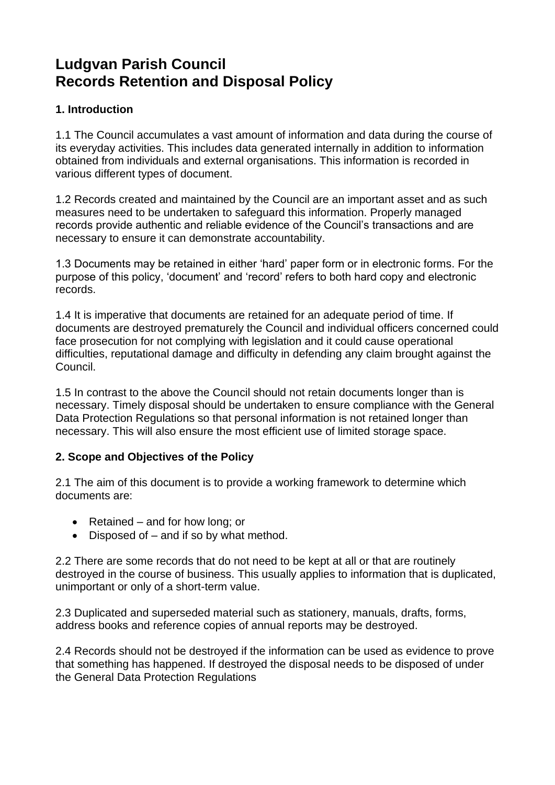# **Ludgvan Parish Council Records Retention and Disposal Policy**

## **1. Introduction**

1.1 The Council accumulates a vast amount of information and data during the course of its everyday activities. This includes data generated internally in addition to information obtained from individuals and external organisations. This information is recorded in various different types of document.

1.2 Records created and maintained by the Council are an important asset and as such measures need to be undertaken to safeguard this information. Properly managed records provide authentic and reliable evidence of the Council's transactions and are necessary to ensure it can demonstrate accountability.

1.3 Documents may be retained in either 'hard' paper form or in electronic forms. For the purpose of this policy, 'document' and 'record' refers to both hard copy and electronic records.

1.4 It is imperative that documents are retained for an adequate period of time. If documents are destroyed prematurely the Council and individual officers concerned could face prosecution for not complying with legislation and it could cause operational difficulties, reputational damage and difficulty in defending any claim brought against the Council.

1.5 In contrast to the above the Council should not retain documents longer than is necessary. Timely disposal should be undertaken to ensure compliance with the General Data Protection Regulations so that personal information is not retained longer than necessary. This will also ensure the most efficient use of limited storage space.

## **2. Scope and Objectives of the Policy**

2.1 The aim of this document is to provide a working framework to determine which documents are:

- Retained and for how long; or
- Disposed of  $-$  and if so by what method.

2.2 There are some records that do not need to be kept at all or that are routinely destroyed in the course of business. This usually applies to information that is duplicated, unimportant or only of a short-term value.

2.3 Duplicated and superseded material such as stationery, manuals, drafts, forms, address books and reference copies of annual reports may be destroyed.

2.4 Records should not be destroyed if the information can be used as evidence to prove that something has happened. If destroyed the disposal needs to be disposed of under the General Data Protection Regulations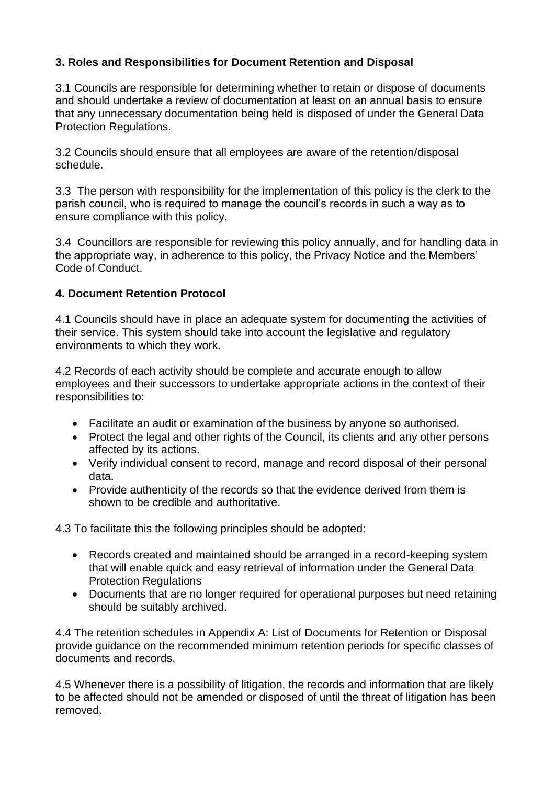## **3. Roles and Responsibilities for Document Retention and Disposal**

3.1 Councils are responsible for determining whether to retain or dispose of documents and should undertake a review of documentation at least on an annual basis to ensure that any unnecessary documentation being held is disposed of under the General Data Protection Regulations.

3.2 Councils should ensure that all employees are aware of the retention/disposal schedule.

3.3 The person with responsibility for the implementation of this policy is the clerk to the parish council, who is required to manage the council's records in such a way as to ensure compliance with this policy.

3.4 Councillors are responsible for reviewing this policy annually, and for handling data in the appropriate way, in adherence to this policy, the Privacy Notice and the Members' Code of Conduct.

#### **4. Document Retention Protocol**

4.1 Councils should have in place an adequate system for documenting the activities of their service. This system should take into account the legislative and regulatory environments to which they work.

4.2 Records of each activity should be complete and accurate enough to allow employees and their successors to undertake appropriate actions in the context of their responsibilities to:

- Facilitate an audit or examination of the business by anyone so authorised.
- Protect the legal and other rights of the Council, its clients and any other persons affected by its actions.
- Verify individual consent to record, manage and record disposal of their personal data.
- Provide authenticity of the records so that the evidence derived from them is shown to be credible and authoritative.

4.3 To facilitate this the following principles should be adopted:

- Records created and maintained should be arranged in a record-keeping system that will enable quick and easy retrieval of information under the General Data Protection Regulations
- Documents that are no longer required for operational purposes but need retaining should be suitably archived.

4.4 The retention schedules in Appendix A: List of Documents for Retention or Disposal provide guidance on the recommended minimum retention periods for specific classes of documents and records.

4.5 Whenever there is a possibility of litigation, the records and information that are likely to be affected should not be amended or disposed of until the threat of litigation has been removed.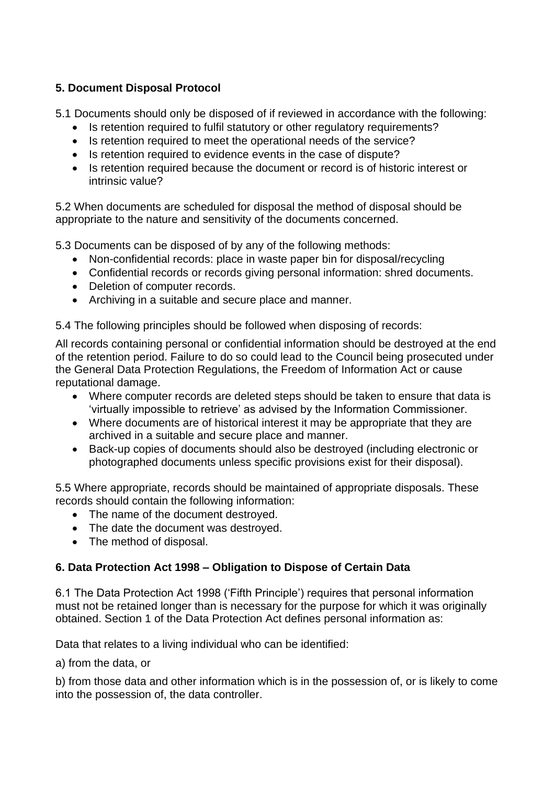## **5. Document Disposal Protocol**

5.1 Documents should only be disposed of if reviewed in accordance with the following:

- Is retention required to fulfil statutory or other regulatory requirements?
- Is retention required to meet the operational needs of the service?
- Is retention required to evidence events in the case of dispute?
- Is retention required because the document or record is of historic interest or intrinsic value?

5.2 When documents are scheduled for disposal the method of disposal should be appropriate to the nature and sensitivity of the documents concerned.

5.3 Documents can be disposed of by any of the following methods:

- Non-confidential records: place in waste paper bin for disposal/recycling
- Confidential records or records giving personal information: shred documents.
- Deletion of computer records.
- Archiving in a suitable and secure place and manner.

5.4 The following principles should be followed when disposing of records:

All records containing personal or confidential information should be destroyed at the end of the retention period. Failure to do so could lead to the Council being prosecuted under the General Data Protection Regulations, the Freedom of Information Act or cause reputational damage.

- Where computer records are deleted steps should be taken to ensure that data is 'virtually impossible to retrieve' as advised by the Information Commissioner.
- Where documents are of historical interest it may be appropriate that they are archived in a suitable and secure place and manner.
- Back-up copies of documents should also be destroyed (including electronic or photographed documents unless specific provisions exist for their disposal).

5.5 Where appropriate, records should be maintained of appropriate disposals. These records should contain the following information:

- The name of the document destroyed.
- The date the document was destroyed.
- The method of disposal.

## **6. Data Protection Act 1998 – Obligation to Dispose of Certain Data**

6.1 The Data Protection Act 1998 ('Fifth Principle') requires that personal information must not be retained longer than is necessary for the purpose for which it was originally obtained. Section 1 of the Data Protection Act defines personal information as:

Data that relates to a living individual who can be identified:

a) from the data, or

b) from those data and other information which is in the possession of, or is likely to come into the possession of, the data controller.